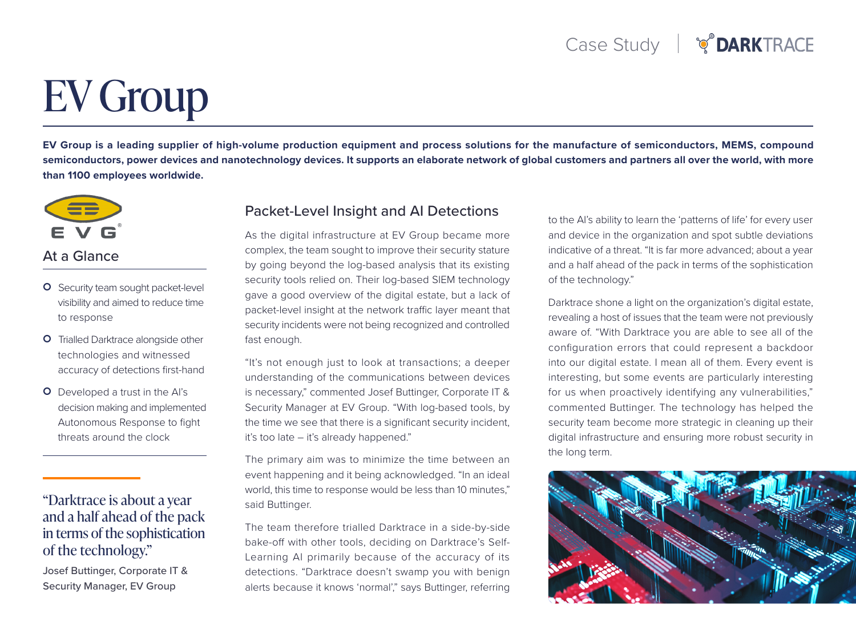# **EV Group**

EV Group is a leading supplier of high-volume production equipment and process solutions for the manufacture of semiconductors, MEMS, compound semiconductors, power devices and nanotechnology devices. It supports an elaborate network of global customers and partners all over the world, with more than 1100 employees worldwide.



#### At a Glance

- **O** Security team sought packet-level visibility and aimed to reduce time to response
- **O** Trialled Darktrace alongside other technologies and witnessed accuracy of detections first-hand
- **O** Developed a trust in the Al's decision making and implemented Autonomous Response to fight threats around the clock

### "Darktrace is about a year and a half ahead of the pack in terms of the sophistication of the technology."

Josef Buttinger, Corporate IT & Security Manager, EV Group

#### Packet-Level Insight and AI Detections

As the digital infrastructure at EV Group became more complex, the team sought to improve their security stature by going beyond the log-based analysis that its existing security tools relied on. Their log-based SIEM technology gave a good overview of the digital estate, but a lack of packet-level insight at the network traffic layer meant that security incidents were not being recognized and controlled fast enough.

"It's not enough just to look at transactions; a deeper understanding of the communications between devices is necessary," commented Josef Buttinger, Corporate IT & Security Manager at EV Group. "With log-based tools, by the time we see that there is a significant security incident, it's too late  $-$  it's already happened."

The primary aim was to minimize the time between an event happening and it being acknowledged. "In an ideal world, this time to response would be less than 10 minutes," said Buttinger.

The team therefore trialled Darktrace in a side-by-side bake-off with other tools, deciding on Darktrace's Self-<br>Learning AI primarily because of the accuracy of its detections. "Darktrace doesn't swamp you with benign alerts because it knows 'normal'," says Buttinger, referring to the AI's ability to learn the 'patterns of life' for every user and device in the organization and spot subtle deviations indicative of a threat. "It is far more advanced; about a year and a half ahead of the pack in terms of the sophistication of the technology."

Darktrace shone a light on the organization's digital estate, revealing a host of issues that the team were not previously aware of. "With Darktrace you are able to see all of the configuration errors that could represent a backdoor into our digital estate. I mean all of them. Every event is interesting, but some events are particularly interesting for us when proactively identifying any vulnerabilities," commented Buttinger. The technology has helped the security team become more strategic in cleaning up their digital infrastructure and ensuring more robust security in the long term.